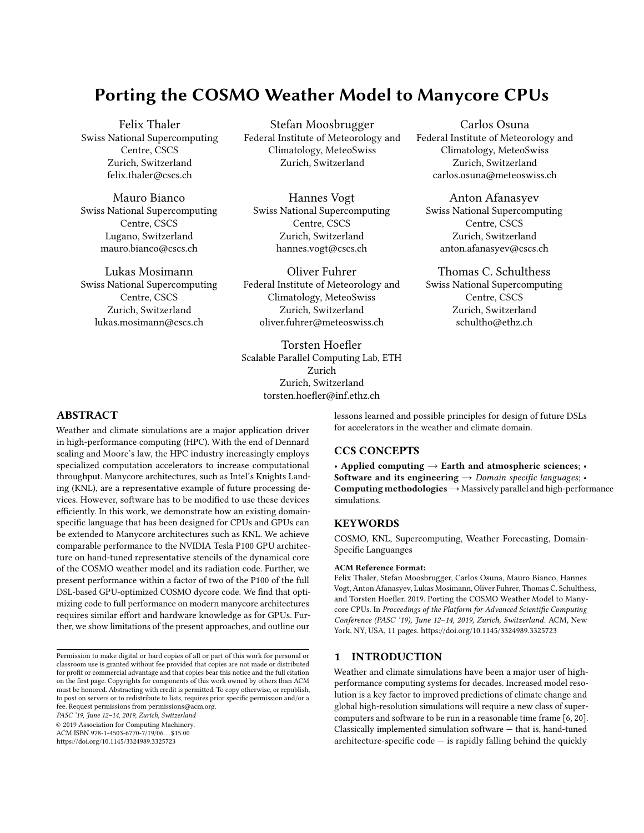# Porting the COSMO Weather Model to Manycore CPUs

Felix Thaler Swiss National Supercomputing Centre, CSCS Zurich, Switzerland felix.thaler@cscs.ch

Mauro Bianco Swiss National Supercomputing Centre, CSCS Lugano, Switzerland mauro.bianco@cscs.ch

Lukas Mosimann Swiss National Supercomputing Centre, CSCS Zurich, Switzerland lukas.mosimann@cscs.ch

Stefan Moosbrugger Federal Institute of Meteorology and Climatology, MeteoSwiss Zurich, Switzerland

Hannes Vogt Swiss National Supercomputing Centre, CSCS Zurich, Switzerland hannes.vogt@cscs.ch

Oliver Fuhrer Federal Institute of Meteorology and Climatology, MeteoSwiss Zurich, Switzerland oliver.fuhrer@meteoswiss.ch

Torsten Hoefler Scalable Parallel Computing Lab, ETH Zurich Zurich, Switzerland torsten.hoefler@inf.ethz.ch

Carlos Osuna Federal Institute of Meteorology and Climatology, MeteoSwiss Zurich, Switzerland carlos.osuna@meteoswiss.ch

Anton Afanasyev Swiss National Supercomputing Centre, CSCS Zurich, Switzerland anton.afanasyev@cscs.ch

Thomas C. Schulthess Swiss National Supercomputing Centre, CSCS Zurich, Switzerland schultho@ethz.ch

### ABSTRACT

Weather and climate simulations are a major application driver in high-performance computing (HPC). With the end of Dennard scaling and Moore's law, the HPC industry increasingly employs specialized computation accelerators to increase computational throughput. Manycore architectures, such as Intel's Knights Landing (KNL), are a representative example of future processing devices. However, software has to be modified to use these devices efficiently. In this work, we demonstrate how an existing domainspecific language that has been designed for CPUs and GPUs can be extended to Manycore architectures such as KNL. We achieve comparable performance to the NVIDIA Tesla P100 GPU architecture on hand-tuned representative stencils of the dynamical core of the COSMO weather model and its radiation code. Further, we present performance within a factor of two of the P100 of the full DSL-based GPU-optimized COSMO dycore code. We find that optimizing code to full performance on modern manycore architectures requires similar effort and hardware knowledge as for GPUs. Further, we show limitations of the present approaches, and outline our

PASC '19, June 12–14, 2019, Zurich, Switzerland

© 2019 Association for Computing Machinery.

ACM ISBN 978-1-4503-6770-7/19/06. . . \$15.00

<https://doi.org/10.1145/3324989.3325723>

lessons learned and possible principles for design of future DSLs for accelerators in the weather and climate domain.

# CCS CONCEPTS

• Applied computing  $\rightarrow$  Earth and atmospheric sciences; • Software and its engineering  $\rightarrow$  Domain specific languages; • Computing methodologies  $\rightarrow$  Massively parallel and high-performance simulations.

# **KEYWORDS**

COSMO, KNL, Supercomputing, Weather Forecasting, Domain-Specific Languanges

#### ACM Reference Format:

Felix Thaler, Stefan Moosbrugger, Carlos Osuna, Mauro Bianco, Hannes Vogt, Anton Afanasyev, Lukas Mosimann, Oliver Fuhrer, Thomas C. Schulthess, and Torsten Hoefler. 2019. Porting the COSMO Weather Model to Manycore CPUs. In Proceedings of the Platform for Advanced Scientific Computing Conference (PASC '19), June 12–14, 2019, Zurich, Switzerland. ACM, New York, NY, USA, [11](#page-10-0) pages.<https://doi.org/10.1145/3324989.3325723>

# 1 INTRODUCTION

Weather and climate simulations have been a major user of highperformance computing systems for decades. Increased model resolution is a key factor to improved predictions of climate change and global high-resolution simulations will require a new class of supercomputers and software to be run in a reasonable time frame [\[6,](#page-9-0) [20\]](#page-9-1). Classically implemented simulation software — that is, hand-tuned  $architecture-specific code - is rapidly falling behind the quickly$ 

Permission to make digital or hard copies of all or part of this work for personal or classroom use is granted without fee provided that copies are not made or distributed for profit or commercial advantage and that copies bear this notice and the full citation on the first page. Copyrights for components of this work owned by others than ACM must be honored. Abstracting with credit is permitted. To copy otherwise, or republish, to post on servers or to redistribute to lists, requires prior specific permission and/or a fee. Request permissions from permissions@acm.org.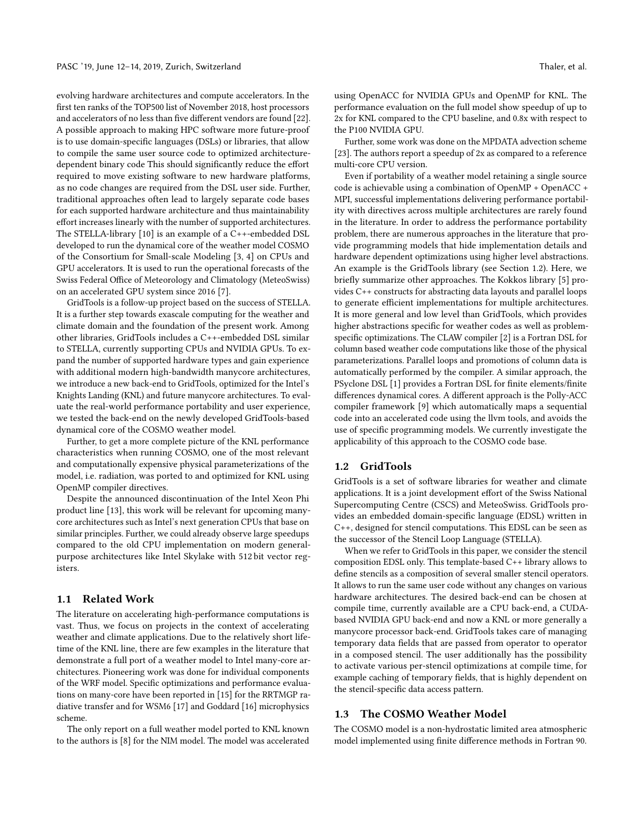evolving hardware architectures and compute accelerators. In the first ten ranks of the TOP500 list of November 2018, host processors and accelerators of no less than five different vendors are found [\[22\]](#page-9-2). A possible approach to making HPC software more future-proof is to use domain-specific languages (DSLs) or libraries, that allow to compile the same user source code to optimized architecturedependent binary code This should significantly reduce the effort required to move existing software to new hardware platforms, as no code changes are required from the DSL user side. Further, traditional approaches often lead to largely separate code bases for each supported hardware architecture and thus maintainability effort increases linearly with the number of supported architectures. The STELLA-library [\[10\]](#page-9-3) is an example of a C++-embedded DSL developed to run the dynamical core of the weather model COSMO of the Consortium for Small-scale Modeling [\[3,](#page-9-4) [4\]](#page-9-5) on CPUs and GPU accelerators. It is used to run the operational forecasts of the Swiss Federal Office of Meteorology and Climatology (MeteoSwiss) on an accelerated GPU system since 2016 [\[7\]](#page-9-6).

GridTools is a follow-up project based on the success of STELLA. It is a further step towards exascale computing for the weather and climate domain and the foundation of the present work. Among other libraries, GridTools includes a C++-embedded DSL similar to STELLA, currently supporting CPUs and NVIDIA GPUs. To expand the number of supported hardware types and gain experience with additional modern high-bandwidth manycore architectures, we introduce a new back-end to GridTools, optimized for the Intel's Knights Landing (KNL) and future manycore architectures. To evaluate the real-world performance portability and user experience, we tested the back-end on the newly developed GridTools-based dynamical core of the COSMO weather model.

Further, to get a more complete picture of the KNL performance characteristics when running COSMO, one of the most relevant and computationally expensive physical parameterizations of the model, i.e. radiation, was ported to and optimized for KNL using OpenMP compiler directives.

Despite the announced discontinuation of the Intel Xeon Phi product line [\[13\]](#page-9-7), this work will be relevant for upcoming manycore architectures such as Intel's next generation CPUs that base on similar principles. Further, we could already observe large speedups compared to the old CPU implementation on modern generalpurpose architectures like Intel Skylake with 512 bit vector registers.

#### 1.1 Related Work

The literature on accelerating high-performance computations is vast. Thus, we focus on projects in the context of accelerating weather and climate applications. Due to the relatively short lifetime of the KNL line, there are few examples in the literature that demonstrate a full port of a weather model to Intel many-core architectures. Pioneering work was done for individual components of the WRF model. Specific optimizations and performance evaluations on many-core have been reported in [\[15\]](#page-9-8) for the RRTMGP radiative transfer and for WSM6 [\[17\]](#page-9-9) and Goddard [\[16\]](#page-9-10) microphysics scheme.

The only report on a full weather model ported to KNL known to the authors is [\[8\]](#page-9-11) for the NIM model. The model was accelerated using OpenACC for NVIDIA GPUs and OpenMP for KNL. The performance evaluation on the full model show speedup of up to 2x for KNL compared to the CPU baseline, and 0.8x with respect to the P100 NVIDIA GPU.

Further, some work was done on the MPDATA advection scheme [\[23\]](#page-9-12). The authors report a speedup of 2x as compared to a reference multi-core CPU version.

Even if portability of a weather model retaining a single source code is achievable using a combination of OpenMP + OpenACC + MPI, successful implementations delivering performance portability with directives across multiple architectures are rarely found in the literature. In order to address the performance portability problem, there are numerous approaches in the literature that provide programming models that hide implementation details and hardware dependent optimizations using higher level abstractions. An example is the GridTools library (see Section [1.2\)](#page-1-0). Here, we briefly summarize other approaches. The Kokkos library [\[5\]](#page-9-13) provides C++ constructs for abstracting data layouts and parallel loops to generate efficient implementations for multiple architectures. It is more general and low level than GridTools, which provides higher abstractions specific for weather codes as well as problemspecific optimizations. The CLAW compiler [\[2\]](#page-9-14) is a Fortran DSL for column based weather code computations like those of the physical parameterizations. Parallel loops and promotions of column data is automatically performed by the compiler. A similar approach, the PSyclone DSL [\[1\]](#page-9-15) provides a Fortran DSL for finite elements/finite differences dynamical cores. A different approach is the Polly-ACC compiler framework [\[9\]](#page-9-16) which automatically maps a sequential code into an accelerated code using the llvm tools, and avoids the use of specific programming models. We currently investigate the applicability of this approach to the COSMO code base.

#### <span id="page-1-0"></span>1.2 GridTools

GridTools is a set of software libraries for weather and climate applications. It is a joint development effort of the Swiss National Supercomputing Centre (CSCS) and MeteoSwiss. GridTools provides an embedded domain-specific language (EDSL) written in C++, designed for stencil computations. This EDSL can be seen as the successor of the Stencil Loop Language (STELLA).

When we refer to GridTools in this paper, we consider the stencil composition EDSL only. This template-based C++ library allows to define stencils as a composition of several smaller stencil operators. It allows to run the same user code without any changes on various hardware architectures. The desired back-end can be chosen at compile time, currently available are a CPU back-end, a CUDAbased NVIDIA GPU back-end and now a KNL or more generally a manycore processor back-end. GridTools takes care of managing temporary data fields that are passed from operator to operator in a composed stencil. The user additionally has the possibility to activate various per-stencil optimizations at compile time, for example caching of temporary fields, that is highly dependent on the stencil-specific data access pattern.

# <span id="page-1-1"></span>1.3 The COSMO Weather Model

The COSMO model is a non-hydrostatic limited area atmospheric model implemented using finite difference methods in Fortran 90.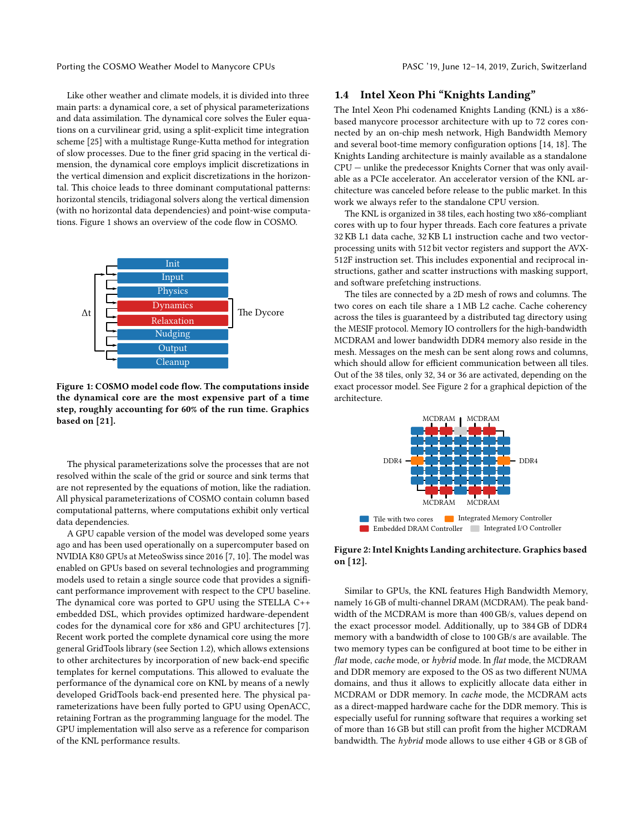Like other weather and climate models, it is divided into three main parts: a dynamical core, a set of physical parameterizations and data assimilation. The dynamical core solves the Euler equations on a curvilinear grid, using a split-explicit time integration scheme [\[25\]](#page-9-17) with a multistage Runge-Kutta method for integration of slow processes. Due to the finer grid spacing in the vertical dimension, the dynamical core employs implicit discretizations in the vertical dimension and explicit discretizations in the horizontal. This choice leads to three dominant computational patterns: horizontal stencils, tridiagonal solvers along the vertical dimension (with no horizontal data dependencies) and point-wise computations. Figure [1](#page-2-0) shows an overview of the code flow in COSMO.

<span id="page-2-0"></span>

Figure 1: COSMO model code flow. The computations inside the dynamical core are the most expensive part of a time step, roughly accounting for 60% of the run time. Graphics based on [\[21\]](#page-9-18).

The physical parameterizations solve the processes that are not resolved within the scale of the grid or source and sink terms that are not represented by the equations of motion, like the radiation. All physical parameterizations of COSMO contain column based computational patterns, where computations exhibit only vertical data dependencies.

A GPU capable version of the model was developed some years ago and has been used operationally on a supercomputer based on NVIDIA K80 GPUs at MeteoSwiss since 2016 [\[7,](#page-9-6) [10\]](#page-9-3). The model was enabled on GPUs based on several technologies and programming models used to retain a single source code that provides a significant performance improvement with respect to the CPU baseline. The dynamical core was ported to GPU using the STELLA C++ embedded DSL, which provides optimized hardware-dependent codes for the dynamical core for x86 and GPU architectures [\[7\]](#page-9-6). Recent work ported the complete dynamical core using the more general GridTools library (see Section [1.2\)](#page-1-0), which allows extensions to other architectures by incorporation of new back-end specific templates for kernel computations. This allowed to evaluate the performance of the dynamical core on KNL by means of a newly developed GridTools back-end presented here. The physical parameterizations have been fully ported to GPU using OpenACC, retaining Fortran as the programming language for the model. The GPU implementation will also serve as a reference for comparison of the KNL performance results.

# 1.4 Intel Xeon Phi "Knights Landing"

The Intel Xeon Phi codenamed Knights Landing (KNL) is a x86 based manycore processor architecture with up to 72 cores connected by an on-chip mesh network, High Bandwidth Memory and several boot-time memory configuration options [\[14,](#page-9-19) [18\]](#page-9-20). The Knights Landing architecture is mainly available as a standalone CPU — unlike the predecessor Knights Corner that was only available as a PCIe accelerator. An accelerator version of the KNL architecture was canceled before release to the public market. In this work we always refer to the standalone CPU version.

The KNL is organized in 38 tiles, each hosting two x86-compliant cores with up to four hyper threads. Each core features a private 32 KB L1 data cache, 32 KB L1 instruction cache and two vectorprocessing units with 512 bit vector registers and support the AVX-512F instruction set. This includes exponential and reciprocal instructions, gather and scatter instructions with masking support, and software prefetching instructions.

The tiles are connected by a 2D mesh of rows and columns. The two cores on each tile share a 1 MB L2 cache. Cache coherency across the tiles is guaranteed by a distributed tag directory using the MESIF protocol. Memory IO controllers for the high-bandwidth MCDRAM and lower bandwidth DDR4 memory also reside in the mesh. Messages on the mesh can be sent along rows and columns, which should allow for efficient communication between all tiles. Out of the 38 tiles, only 32, 34 or 36 are activated, depending on the exact processor model. See Figure [2](#page-2-1) for a graphical depiction of the architecture.

<span id="page-2-1"></span>

Figure 2: Intel Knights Landing architecture. Graphics based on [\[12\]](#page-9-21).

Similar to GPUs, the KNL features High Bandwidth Memory, namely 16 GB of multi-channel DRAM (MCDRAM). The peak bandwidth of the MCDRAM is more than 400 GB/s, values depend on the exact processor model. Additionally, up to 384 GB of DDR4 memory with a bandwidth of close to 100 GB/s are available. The two memory types can be configured at boot time to be either in flat mode, cache mode, or hybrid mode. In flat mode, the MCDRAM and DDR memory are exposed to the OS as two different NUMA domains, and thus it allows to explicitly allocate data either in MCDRAM or DDR memory. In cache mode, the MCDRAM acts as a direct-mapped hardware cache for the DDR memory. This is especially useful for running software that requires a working set of more than 16 GB but still can profit from the higher MCDRAM bandwidth. The hybrid mode allows to use either 4 GB or 8 GB of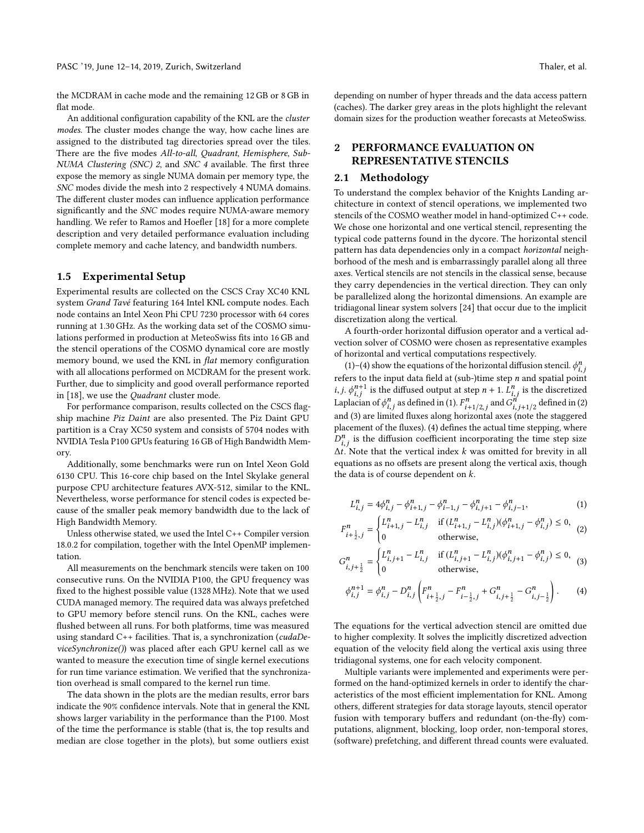the MCDRAM in cache mode and the remaining 12 GB or 8 GB in flat mode.

An additional configuration capability of the KNL are the *cluster* modes. The cluster modes change the way, how cache lines are assigned to the distributed tag directories spread over the tiles. There are the five modes All-to-all, Quadrant, Hemisphere, Sub-NUMA Clustering (SNC) 2, and SNC 4 available. The first three expose the memory as single NUMA domain per memory type, the SNC modes divide the mesh into 2 respectively 4 NUMA domains. The different cluster modes can influence application performance significantly and the SNC modes require NUMA-aware memory handling. We refer to Ramos and Hoefler [\[18\]](#page-9-20) for a more complete description and very detailed performance evaluation including complete memory and cache latency, and bandwidth numbers.

#### <span id="page-3-4"></span>1.5 Experimental Setup

Experimental results are collected on the CSCS Cray XC40 KNL system Grand Tavé featuring 164 Intel KNL compute nodes. Each node contains an Intel Xeon Phi CPU 7230 processor with 64 cores running at 1.30 GHz. As the working data set of the COSMO simulations performed in production at MeteoSwiss fits into 16 GB and the stencil operations of the COSMO dynamical core are mostly memory bound, we used the KNL in flat memory configuration with all allocations performed on MCDRAM for the present work. Further, due to simplicity and good overall performance reported in [\[18\]](#page-9-20), we use the Quadrant cluster mode.

For performance comparison, results collected on the CSCS flagship machine Piz Daint are also presented. The Piz Daint GPU partition is a Cray XC50 system and consists of 5704 nodes with NVIDIA Tesla P100 GPUs featuring 16 GB of High Bandwidth Memory.

Additionally, some benchmarks were run on Intel Xeon Gold 6130 CPU. This 16-core chip based on the Intel Skylake general purpose CPU architecture features AVX-512, similar to the KNL. Nevertheless, worse performance for stencil codes is expected because of the smaller peak memory bandwidth due to the lack of High Bandwidth Memory.

Unless otherwise stated, we used the Intel C++ Compiler version 18.0.2 for compilation, together with the Intel OpenMP implementation.

All measurements on the benchmark stencils were taken on 100 consecutive runs. On the NVIDIA P100, the GPU frequency was fixed to the highest possible value (1328 MHz). Note that we used CUDA managed memory. The required data was always prefetched to GPU memory before stencil runs. On the KNL, caches were flushed between all runs. For both platforms, time was measured using standard C++ facilities. That is, a synchronization (cudaDeviceSynchronize()) was placed after each GPU kernel call as we wanted to measure the execution time of single kernel executions for run time variance estimation. We verified that the synchronization overhead is small compared to the kernel run time.

The data shown in the plots are the median results, error bars indicate the 90% confidence intervals. Note that in general the KNL shows larger variability in the performance than the P100. Most of the time the performance is stable (that is, the top results and median are close together in the plots), but some outliers exist depending on number of hyper threads and the data access pattern (caches). The darker grey areas in the plots highlight the relevant domain sizes for the production weather forecasts at MeteoSwiss.

# 2 PERFORMANCE EVALUATION ON REPRESENTATIVE STENCILS

### 2.1 Methodology

To understand the complex behavior of the Knights Landing architecture in context of stencil operations, we implemented two stencils of the COSMO weather model in hand-optimized C++ code. We chose one horizontal and one vertical stencil, representing the typical code patterns found in the dycore. The horizontal stencil pattern has data dependencies only in a compact horizontal neighborhood of the mesh and is embarrassingly parallel along all three axes. Vertical stencils are not stencils in the classical sense, because they carry dependencies in the vertical direction. They can only be parallelized along the horizontal dimensions. An example are tridiagonal linear system solvers [\[24\]](#page-9-22) that occur due to the implicit discretization along the vertical.

A fourth-order horizontal diffusion operator and a vertical advection solver of COSMO were chosen as representative examples of horizontal and vertical computations respectively.

[\(1\)](#page-3-0)–[\(4\)](#page-3-1) show the equations of the horizontal diffusion stencil.  $\phi_i^n$  $i,j$ ,  $j$  show the equations of the indizontal diffusion steller,  $\varphi_{i,j}$  refers to the input data field at (sub-)time step *n* and spatial point *i*, *j*.  $\phi_{i,j}^{n+1}$  is the diffused output at step  $n + 1$ .  $L_{i,j}^n$  is the discretized<br>Laplacian of  $\phi_n^n$  and  $\phi_n^{\text{max}}$  and  $\phi_n^{\text{max}}$  and  $\phi_n^{\text{max}}$  $i, j, \psi_{i,j}$  is the unused output at step  $n + 1$ .  $L_{i,j}$  is the uscretized<br>Laplacian of  $\phi_{i,j}^n$  as defined in [\(1\)](#page-3-0).  $F_{i+1/2,j}^n$  and  $G_{i,j+1/2}^n$  defined in [\(2\)](#page-3-2)<br>and (3) are limited fluxes along borizontal axes (note Laplacian of  $\varphi_{i,j}$  as defined in (1).  $i_{i+1/2,j}$  and  $\varphi_{i,j+1/2}$  defined in (2)<br>and [\(3\)](#page-3-3) are limited fluxes along horizontal axes (note the staggered placement of the fluxes). [\(4\)](#page-3-1) defines the actual time stepping, where  $D_{i,i}^{n}$  is the diffusion coefficient incorporating the time step size  $\Delta t$ . Note that the vertical index k was omitted for brevity in all<br>equations as no offerts are present along the vertical axis, though equations as no offsets are present along the vertical axis, though the data is of course dependent on  $k$ .

<span id="page-3-2"></span><span id="page-3-0"></span>
$$
L_{i,j}^n = 4\phi_{i,j}^n - \phi_{i+1,j}^n - \phi_{i-1,j}^n - \phi_{i,j+1}^n - \phi_{i,j-1}^n,
$$
\n(1)

$$
F_{i+\frac{1}{2},j}^{n} = \begin{cases} L_{i+1,j}^{n} - L_{i,j}^{n} & \text{if } (L_{i+1,j}^{n} - L_{i,j}^{n})(\phi_{i+1,j}^{n} - \phi_{i,j}^{n}) \le 0, \\ 0 & \text{otherwise,} \end{cases}
$$
 (2)

$$
G_{i,j+\frac{1}{2}}^n = \begin{cases} L_{i,j+1}^n - L_{i,j}^n & \text{if } (L_{i,j+1}^n - L_{i,j}^n)(\phi_{i,j+1}^n - \phi_{i,j}^n) \le 0, \\ 0 & \text{otherwise,} \end{cases}
$$
 (3)

<span id="page-3-3"></span><span id="page-3-1"></span>
$$
\phi_{i,j}^{n+1} = \phi_{i,j}^n - D_{i,j}^n \left( F_{i + \frac{1}{2},j}^n - F_{i - \frac{1}{2},j}^n + G_{i,j + \frac{1}{2}}^n - G_{i,j - \frac{1}{2}}^n \right). \tag{4}
$$

The equations for the vertical advection stencil are omitted due to higher complexity. It solves the implicitly discretized advection equation of the velocity field along the vertical axis using three tridiagonal systems, one for each velocity component.

Multiple variants were implemented and experiments were performed on the hand-optimized kernels in order to identify the characteristics of the most efficient implementation for KNL. Among others, different strategies for data storage layouts, stencil operator fusion with temporary buffers and redundant (on-the-fly) computations, alignment, blocking, loop order, non-temporal stores, (software) prefetching, and different thread counts were evaluated.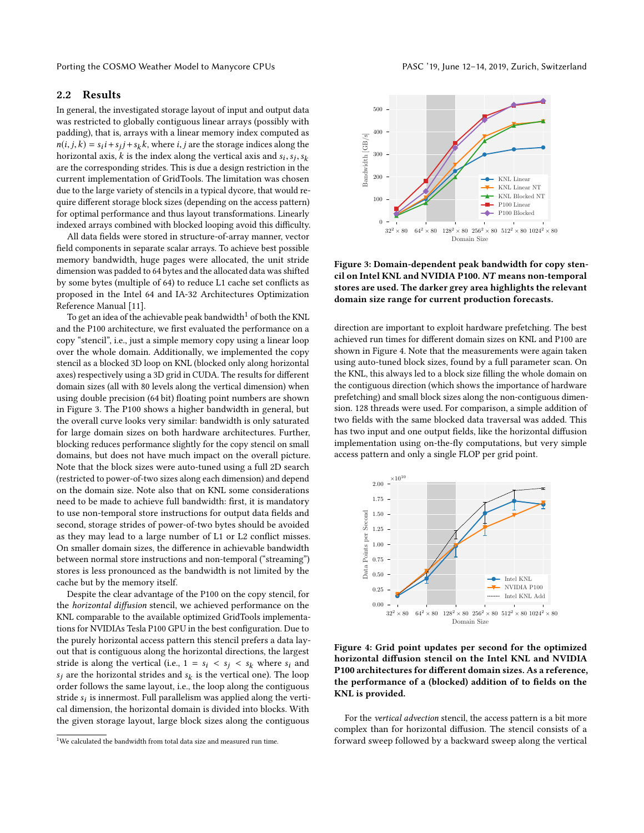# <span id="page-4-3"></span>2.2 Results

In general, the investigated storage layout of input and output data was restricted to globally contiguous linear arrays (possibly with padding), that is, arrays with a linear memory index computed as  $n(i, j, k) = s_i i + s_j j + s_k k$ , where *i*, *j* are the storage indices along the horizontal axis, *k* is the index along the vertical axis and su sustainable. horizontal axis, k is the index along the vertical axis and  $s_i, s_j, s_k$ <br>are the corresponding strides. This is due a design restriction in the are the corresponding strides. This is due a design restriction in the current implementation of GridTools. The limitation was chosen due to the large variety of stencils in a typical dycore, that would require different storage block sizes (depending on the access pattern) for optimal performance and thus layout transformations. Linearly indexed arrays combined with blocked looping avoid this difficulty.

All data fields were stored in structure-of-array manner, vector field components in separate scalar arrays. To achieve best possible memory bandwidth, huge pages were allocated, the unit stride dimension was padded to 64 bytes and the allocated data was shifted by some bytes (multiple of 64) to reduce L1 cache set conflicts as proposed in the Intel 64 and IA-32 Architectures Optimization Reference Manual [\[11\]](#page-9-23).

To get an idea of the achievable peak bandwidth<sup>[1](#page-4-0)</sup> of both the KNL and the P100 architecture, we first evaluated the performance on a copy "stencil", i.e., just a simple memory copy using a linear loop over the whole domain. Additionally, we implemented the copy stencil as a blocked 3D loop on KNL (blocked only along horizontal axes) respectively using a 3D grid in CUDA. The results for different domain sizes (all with 80 levels along the vertical dimension) when using double precision (64 bit) floating point numbers are shown in Figure [3.](#page-4-1) The P100 shows a higher bandwidth in general, but the overall curve looks very similar: bandwidth is only saturated for large domain sizes on both hardware architectures. Further, blocking reduces performance slightly for the copy stencil on small domains, but does not have much impact on the overall picture. Note that the block sizes were auto-tuned using a full 2D search (restricted to power-of-two sizes along each dimension) and depend on the domain size. Note also that on KNL some considerations need to be made to achieve full bandwidth: first, it is mandatory to use non-temporal store instructions for output data fields and second, storage strides of power-of-two bytes should be avoided as they may lead to a large number of L1 or L2 conflict misses. On smaller domain sizes, the difference in achievable bandwidth between normal store instructions and non-temporal ("streaming") stores is less pronounced as the bandwidth is not limited by the cache but by the memory itself.

Despite the clear advantage of the P100 on the copy stencil, for the horizontal diffusion stencil, we achieved performance on the KNL comparable to the available optimized GridTools implementations for NVIDIAs Tesla P100 GPU in the best configuration. Due to the purely horizontal access pattern this stencil prefers a data layout that is contiguous along the horizontal directions, the largest stride is along the vertical (i.e.,  $1 = s_i < s_i < s_k$  where  $s_i$  and  $s_j$  are the horizontal strides and  $s_k$  is the vertical one). The loop order follows the same layout, i.e., the loop along the contiguous stride  $s_i$  is innermost. Full parallelism was applied along the vertical dimension, the horizontal domain is divided into blocks. With the given storage layout, large block sizes along the contiguous

<span id="page-4-1"></span>

Figure 3: Domain-dependent peak bandwidth for copy stencil on Intel KNL and NVIDIA P100. NT means non-temporal stores are used. The darker grey area highlights the relevant domain size range for current production forecasts.

direction are important to exploit hardware prefetching. The best achieved run times for different domain sizes on KNL and P100 are shown in Figure [4.](#page-4-2) Note that the measurements were again taken using auto-tuned block sizes, found by a full parameter scan. On the KNL, this always led to a block size filling the whole domain on the contiguous direction (which shows the importance of hardware prefetching) and small block sizes along the non-contiguous dimension. 128 threads were used. For comparison, a simple addition of two fields with the same blocked data traversal was added. This has two input and one output fields, like the horizontal diffusion implementation using on-the-fly computations, but very simple access pattern and only a single FLOP per grid point.

<span id="page-4-2"></span>

Figure 4: Grid point updates per second for the optimized horizontal diffusion stencil on the Intel KNL and NVIDIA P100 architectures for different domain sizes. As a reference, the performance of a (blocked) addition of to fields on the KNL is provided.

For the vertical advection stencil, the access pattern is a bit more complex than for horizontal diffusion. The stencil consists of a forward sweep followed by a backward sweep along the vertical

<span id="page-4-0"></span> $^{\rm 1}{\rm We}$  calculated the bandwidth from total data size and measured run time.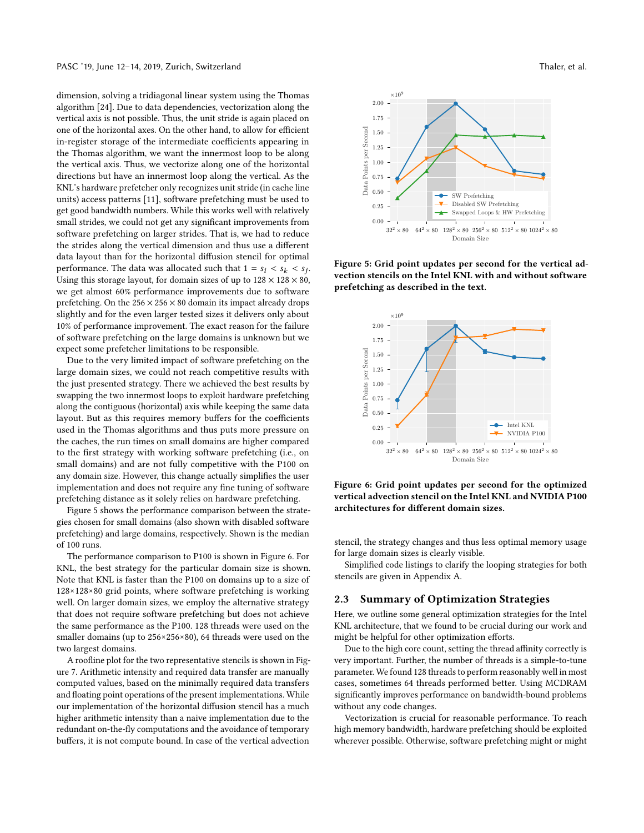dimension, solving a tridiagonal linear system using the Thomas algorithm [\[24\]](#page-9-22). Due to data dependencies, vectorization along the vertical axis is not possible. Thus, the unit stride is again placed on one of the horizontal axes. On the other hand, to allow for efficient in-register storage of the intermediate coefficients appearing in the Thomas algorithm, we want the innermost loop to be along the vertical axis. Thus, we vectorize along one of the horizontal directions but have an innermost loop along the vertical. As the KNL's hardware prefetcher only recognizes unit stride (in cache line units) access patterns [\[11\]](#page-9-23), software prefetching must be used to get good bandwidth numbers. While this works well with relatively small strides, we could not get any significant improvements from software prefetching on larger strides. That is, we had to reduce the strides along the vertical dimension and thus use a different data layout than for the horizontal diffusion stencil for optimal performance. The data was allocated such that  $1 = s_i < s_k < s_j$ .<br>Using this storage layout, for domain sizes of up to  $128 \times 128 \times 80$ . Using this storage layout, for domain sizes of up to  $128 \times 128 \times 80$ , we get almost 60% performance improvements due to software prefetching. On the  $256 \times 256 \times 80$  domain its impact already drops slightly and for the even larger tested sizes it delivers only about 10% of performance improvement. The exact reason for the failure of software prefetching on the large domains is unknown but we expect some prefetcher limitations to be responsible.

Due to the very limited impact of software prefetching on the large domain sizes, we could not reach competitive results with the just presented strategy. There we achieved the best results by swapping the two innermost loops to exploit hardware prefetching along the contiguous (horizontal) axis while keeping the same data layout. But as this requires memory buffers for the coefficients used in the Thomas algorithms and thus puts more pressure on the caches, the run times on small domains are higher compared to the first strategy with working software prefetching (i.e., on small domains) and are not fully competitive with the P100 on any domain size. However, this change actually simplifies the user implementation and does not require any fine tuning of software prefetching distance as it solely relies on hardware prefetching.

Figure [5](#page-5-0) shows the performance comparison between the strategies chosen for small domains (also shown with disabled software prefetching) and large domains, respectively. Shown is the median of 100 runs.

The performance comparison to P100 is shown in Figure [6.](#page-5-1) For KNL, the best strategy for the particular domain size is shown. Note that KNL is faster than the P100 on domains up to a size of 128×128×80 grid points, where software prefetching is working well. On larger domain sizes, we employ the alternative strategy that does not require software prefetching but does not achieve the same performance as the P100. 128 threads were used on the smaller domains (up to 256×256×80), 64 threads were used on the two largest domains.

A roofline plot for the two representative stencils is shown in Figure [7.](#page-6-0) Arithmetic intensity and required data transfer are manually computed values, based on the minimally required data transfers and floating point operations of the present implementations. While our implementation of the horizontal diffusion stencil has a much higher arithmetic intensity than a naive implementation due to the redundant on-the-fly computations and the avoidance of temporary buffers, it is not compute bound. In case of the vertical advection



<span id="page-5-0"></span>

Figure 5: Grid point updates per second for the vertical advection stencils on the Intel KNL with and without software prefetching as described in the text.

<span id="page-5-1"></span>

Figure 6: Grid point updates per second for the optimized vertical advection stencil on the Intel KNL and NVIDIA P100 architectures for different domain sizes.

stencil, the strategy changes and thus less optimal memory usage for large domain sizes is clearly visible.

Simplified code listings to clarify the looping strategies for both stencils are given in Appendix [A.](#page-10-1)

#### 2.3 Summary of Optimization Strategies

Here, we outline some general optimization strategies for the Intel KNL architecture, that we found to be crucial during our work and might be helpful for other optimization efforts.

Due to the high core count, setting the thread affinity correctly is very important. Further, the number of threads is a simple-to-tune parameter. We found 128 threads to perform reasonably well in most cases, sometimes 64 threads performed better. Using MCDRAM significantly improves performance on bandwidth-bound problems without any code changes.

Vectorization is crucial for reasonable performance. To reach high memory bandwidth, hardware prefetching should be exploited wherever possible. Otherwise, software prefetching might or might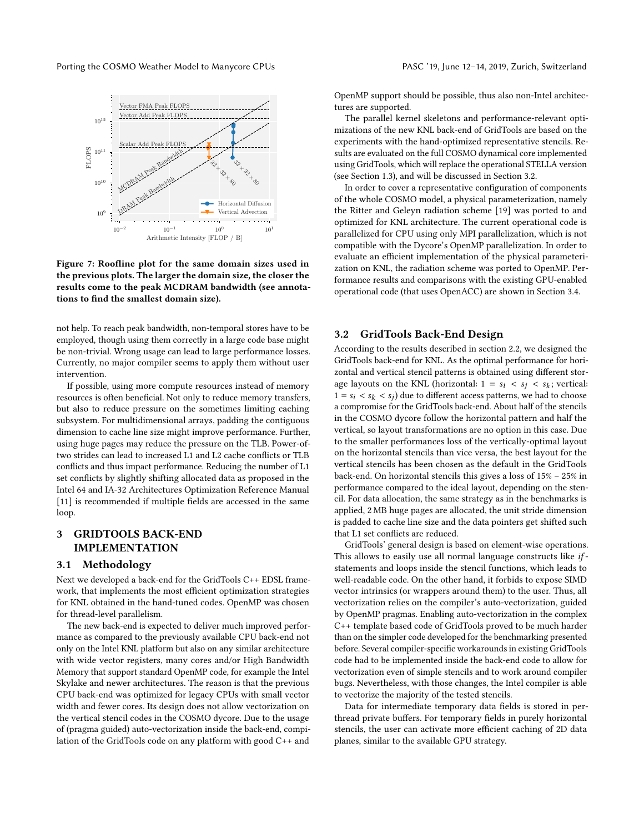<span id="page-6-0"></span>

Figure 7: Roofline plot for the same domain sizes used in the previous plots. The larger the domain size, the closer the results come to the peak MCDRAM bandwidth (see annotations to find the smallest domain size).

not help. To reach peak bandwidth, non-temporal stores have to be employed, though using them correctly in a large code base might be non-trivial. Wrong usage can lead to large performance losses. Currently, no major compiler seems to apply them without user intervention.

If possible, using more compute resources instead of memory resources is often beneficial. Not only to reduce memory transfers, but also to reduce pressure on the sometimes limiting caching subsystem. For multidimensional arrays, padding the contiguous dimension to cache line size might improve performance. Further, using huge pages may reduce the pressure on the TLB. Power-oftwo strides can lead to increased L1 and L2 cache conflicts or TLB conflicts and thus impact performance. Reducing the number of L1 set conflicts by slightly shifting allocated data as proposed in the Intel 64 and IA-32 Architectures Optimization Reference Manual [\[11\]](#page-9-23) is recommended if multiple fields are accessed in the same loop.

# 3 GRIDTOOLS BACK-END IMPLEMENTATION

# 3.1 Methodology

Next we developed a back-end for the GridTools C++ EDSL framework, that implements the most efficient optimization strategies for KNL obtained in the hand-tuned codes. OpenMP was chosen for thread-level parallelism.

The new back-end is expected to deliver much improved performance as compared to the previously available CPU back-end not only on the Intel KNL platform but also on any similar architecture with wide vector registers, many cores and/or High Bandwidth Memory that support standard OpenMP code, for example the Intel Skylake and newer architectures. The reason is that the previous CPU back-end was optimized for legacy CPUs with small vector width and fewer cores. Its design does not allow vectorization on the vertical stencil codes in the COSMO dycore. Due to the usage of (pragma guided) auto-vectorization inside the back-end, compilation of the GridTools code on any platform with good C++ and

OpenMP support should be possible, thus also non-Intel architectures are supported.

The parallel kernel skeletons and performance-relevant optimizations of the new KNL back-end of GridTools are based on the experiments with the hand-optimized representative stencils. Results are evaluated on the full COSMO dynamical core implemented using GridTools, which will replace the operational STELLA version (see Section [1.3\)](#page-1-1), and will be discussed in Section [3.2.](#page-6-1)

In order to cover a representative configuration of components of the whole COSMO model, a physical parameterization, namely the Ritter and Geleyn radiation scheme [\[19\]](#page-9-24) was ported to and optimized for KNL architecture. The current operational code is parallelized for CPU using only MPI parallelization, which is not compatible with the Dycore's OpenMP parallelization. In order to evaluate an efficient implementation of the physical parameterization on KNL, the radiation scheme was ported to OpenMP. Performance results and comparisons with the existing GPU-enabled operational code (that uses OpenACC) are shown in Section [3.4.](#page-8-0)

#### <span id="page-6-1"></span>3.2 GridTools Back-End Design

According to the results described in section [2.2,](#page-4-3) we designed the GridTools back-end for KNL. As the optimal performance for horizontal and vertical stencil patterns is obtained using different storage layouts on the KNL (horizontal:  $1 = s_i < s_j < s_k$ ; vertical:<br> $1 - s_i < s_i < s_j$ ) due to different access patterns, we had to choose  $1 = s_i < s_k < s_j$ ) due to different access patterns, we had to choose<br>a compromise for the GridTools back-end. About half of the stencils a compromise for the GridTools back-end. About half of the stencils in the COSMO dycore follow the horizontal pattern and half the vertical, so layout transformations are no option in this case. Due to the smaller performances loss of the vertically-optimal layout on the horizontal stencils than vice versa, the best layout for the vertical stencils has been chosen as the default in the GridTools back-end. On horizontal stencils this gives a loss of 15% – 25% in performance compared to the ideal layout, depending on the stencil. For data allocation, the same strategy as in the benchmarks is applied, 2 MB huge pages are allocated, the unit stride dimension is padded to cache line size and the data pointers get shifted such that L1 set conflicts are reduced.

GridTools' general design is based on element-wise operations. This allows to easily use all normal language constructs like *if*statements and loops inside the stencil functions, which leads to well-readable code. On the other hand, it forbids to expose SIMD vector intrinsics (or wrappers around them) to the user. Thus, all vectorization relies on the compiler's auto-vectorization, guided by OpenMP pragmas. Enabling auto-vectorization in the complex C++ template based code of GridTools proved to be much harder than on the simpler code developed for the benchmarking presented before. Several compiler-specific workarounds in existing GridTools code had to be implemented inside the back-end code to allow for vectorization even of simple stencils and to work around compiler bugs. Nevertheless, with those changes, the Intel compiler is able to vectorize the majority of the tested stencils.

Data for intermediate temporary data fields is stored in perthread private buffers. For temporary fields in purely horizontal stencils, the user can activate more efficient caching of 2D data planes, similar to the available GPU strategy.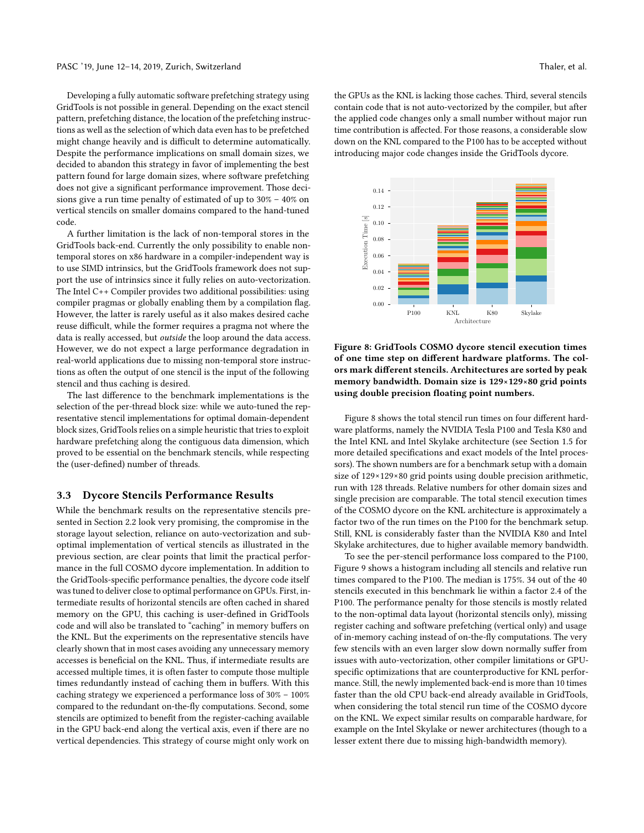Developing a fully automatic software prefetching strategy using GridTools is not possible in general. Depending on the exact stencil pattern, prefetching distance, the location of the prefetching instructions as well as the selection of which data even has to be prefetched might change heavily and is difficult to determine automatically. Despite the performance implications on small domain sizes, we decided to abandon this strategy in favor of implementing the best pattern found for large domain sizes, where software prefetching does not give a significant performance improvement. Those decisions give a run time penalty of estimated of up to 30% – 40% on vertical stencils on smaller domains compared to the hand-tuned code.

A further limitation is the lack of non-temporal stores in the GridTools back-end. Currently the only possibility to enable nontemporal stores on x86 hardware in a compiler-independent way is to use SIMD intrinsics, but the GridTools framework does not support the use of intrinsics since it fully relies on auto-vectorization. The Intel C++ Compiler provides two additional possibilities: using compiler pragmas or globally enabling them by a compilation flag. However, the latter is rarely useful as it also makes desired cache reuse difficult, while the former requires a pragma not where the data is really accessed, but outside the loop around the data access. However, we do not expect a large performance degradation in real-world applications due to missing non-temporal store instructions as often the output of one stencil is the input of the following stencil and thus caching is desired.

The last difference to the benchmark implementations is the selection of the per-thread block size: while we auto-tuned the representative stencil implementations for optimal domain-dependent block sizes, GridTools relies on a simple heuristic that tries to exploit hardware prefetching along the contiguous data dimension, which proved to be essential on the benchmark stencils, while respecting the (user-defined) number of threads.

#### 3.3 Dycore Stencils Performance Results

While the benchmark results on the representative stencils presented in Section [2.2](#page-4-3) look very promising, the compromise in the storage layout selection, reliance on auto-vectorization and suboptimal implementation of vertical stencils as illustrated in the previous section, are clear points that limit the practical performance in the full COSMO dycore implementation. In addition to the GridTools-specific performance penalties, the dycore code itself was tuned to deliver close to optimal performance on GPUs. First, intermediate results of horizontal stencils are often cached in shared memory on the GPU, this caching is user-defined in GridTools code and will also be translated to "caching" in memory buffers on the KNL. But the experiments on the representative stencils have clearly shown that in most cases avoiding any unnecessary memory accesses is beneficial on the KNL. Thus, if intermediate results are accessed multiple times, it is often faster to compute those multiple times redundantly instead of caching them in buffers. With this caching strategy we experienced a performance loss of 30% – 100% compared to the redundant on-the-fly computations. Second, some stencils are optimized to benefit from the register-caching available in the GPU back-end along the vertical axis, even if there are no vertical dependencies. This strategy of course might only work on

the GPUs as the KNL is lacking those caches. Third, several stencils contain code that is not auto-vectorized by the compiler, but after the applied code changes only a small number without major run time contribution is affected. For those reasons, a considerable slow down on the KNL compared to the P100 has to be accepted without introducing major code changes inside the GridTools dycore.

<span id="page-7-0"></span>

Figure 8: GridTools COSMO dycore stencil execution times of one time step on different hardware platforms. The colors mark different stencils. Architectures are sorted by peak memory bandwidth. Domain size is 129×129×80 grid points using double precision floating point numbers.

Figure [8](#page-7-0) shows the total stencil run times on four different hardware platforms, namely the NVIDIA Tesla P100 and Tesla K80 and the Intel KNL and Intel Skylake architecture (see Section [1.5](#page-3-4) for more detailed specifications and exact models of the Intel processors). The shown numbers are for a benchmark setup with a domain size of 129×129×80 grid points using double precision arithmetic, run with 128 threads. Relative numbers for other domain sizes and single precision are comparable. The total stencil execution times of the COSMO dycore on the KNL architecture is approximately a factor two of the run times on the P100 for the benchmark setup. Still, KNL is considerably faster than the NVIDIA K80 and Intel Skylake architectures, due to higher available memory bandwidth.

To see the per-stencil performance loss compared to the P100, Figure [9](#page-8-1) shows a histogram including all stencils and relative run times compared to the P100. The median is 175%. 34 out of the 40 stencils executed in this benchmark lie within a factor 2.4 of the P100. The performance penalty for those stencils is mostly related to the non-optimal data layout (horizontal stencils only), missing register caching and software prefetching (vertical only) and usage of in-memory caching instead of on-the-fly computations. The very few stencils with an even larger slow down normally suffer from issues with auto-vectorization, other compiler limitations or GPUspecific optimizations that are counterproductive for KNL performance. Still, the newly implemented back-end is more than 10 times faster than the old CPU back-end already available in GridTools, when considering the total stencil run time of the COSMO dycore on the KNL. We expect similar results on comparable hardware, for example on the Intel Skylake or newer architectures (though to a lesser extent there due to missing high-bandwidth memory).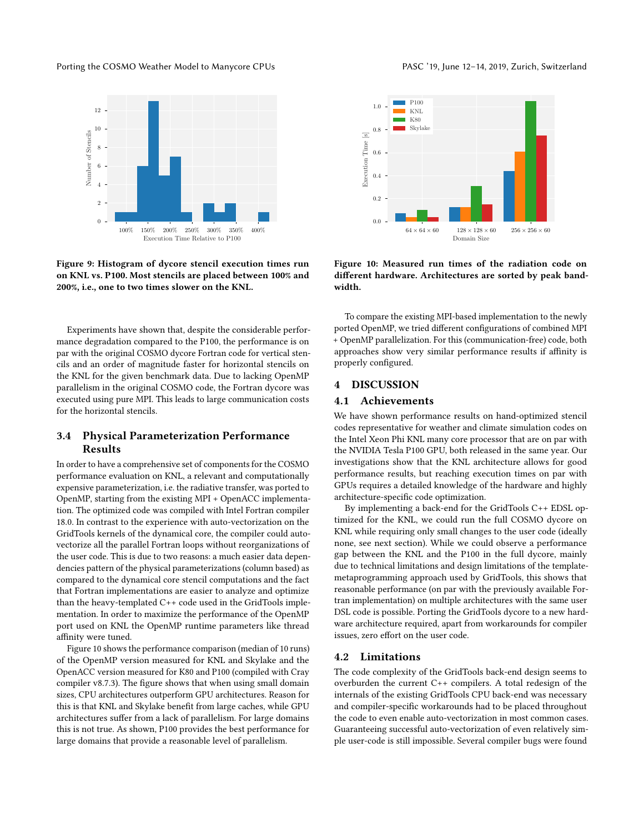<span id="page-8-1"></span>

Figure 9: Histogram of dycore stencil execution times run on KNL vs. P100. Most stencils are placed between 100% and 200%, i.e., one to two times slower on the KNL.

Experiments have shown that, despite the considerable performance degradation compared to the P100, the performance is on par with the original COSMO dycore Fortran code for vertical stencils and an order of magnitude faster for horizontal stencils on the KNL for the given benchmark data. Due to lacking OpenMP parallelism in the original COSMO code, the Fortran dycore was executed using pure MPI. This leads to large communication costs for the horizontal stencils.

# <span id="page-8-0"></span>3.4 Physical Parameterization Performance Results

In order to have a comprehensive set of components for the COSMO performance evaluation on KNL, a relevant and computationally expensive parameterization, i.e. the radiative transfer, was ported to OpenMP, starting from the existing MPI + OpenACC implementation. The optimized code was compiled with Intel Fortran compiler 18.0. In contrast to the experience with auto-vectorization on the GridTools kernels of the dynamical core, the compiler could autovectorize all the parallel Fortran loops without reorganizations of the user code. This is due to two reasons: a much easier data dependencies pattern of the physical parameterizations (column based) as compared to the dynamical core stencil computations and the fact that Fortran implementations are easier to analyze and optimize than the heavy-templated C++ code used in the GridTools implementation. In order to maximize the performance of the OpenMP port used on KNL the OpenMP runtime parameters like thread affinity were tuned.

Figure [10](#page-8-2) shows the performance comparison (median of 10 runs) of the OpenMP version measured for KNL and Skylake and the OpenACC version measured for K80 and P100 (compiled with Cray compiler v8.7.3). The figure shows that when using small domain sizes, CPU architectures outperform GPU architectures. Reason for this is that KNL and Skylake benefit from large caches, while GPU architectures suffer from a lack of parallelism. For large domains this is not true. As shown, P100 provides the best performance for large domains that provide a reasonable level of parallelism.

<span id="page-8-2"></span>

Figure 10: Measured run times of the radiation code on different hardware. Architectures are sorted by peak bandwidth.

To compare the existing MPI-based implementation to the newly ported OpenMP, we tried different configurations of combined MPI + OpenMP parallelization. For this (communication-free) code, both approaches show very similar performance results if affinity is properly configured.

### 4 DISCUSSION

#### 4.1 Achievements

We have shown performance results on hand-optimized stencil codes representative for weather and climate simulation codes on the Intel Xeon Phi KNL many core processor that are on par with the NVIDIA Tesla P100 GPU, both released in the same year. Our investigations show that the KNL architecture allows for good performance results, but reaching execution times on par with GPUs requires a detailed knowledge of the hardware and highly architecture-specific code optimization.

By implementing a back-end for the GridTools C++ EDSL optimized for the KNL, we could run the full COSMO dycore on KNL while requiring only small changes to the user code (ideally none, see next section). While we could observe a performance gap between the KNL and the P100 in the full dycore, mainly due to technical limitations and design limitations of the templatemetaprogramming approach used by GridTools, this shows that reasonable performance (on par with the previously available Fortran implementation) on multiple architectures with the same user DSL code is possible. Porting the GridTools dycore to a new hardware architecture required, apart from workarounds for compiler issues, zero effort on the user code.

#### 4.2 Limitations

The code complexity of the GridTools back-end design seems to overburden the current C++ compilers. A total redesign of the internals of the existing GridTools CPU back-end was necessary and compiler-specific workarounds had to be placed throughout the code to even enable auto-vectorization in most common cases. Guaranteeing successful auto-vectorization of even relatively simple user-code is still impossible. Several compiler bugs were found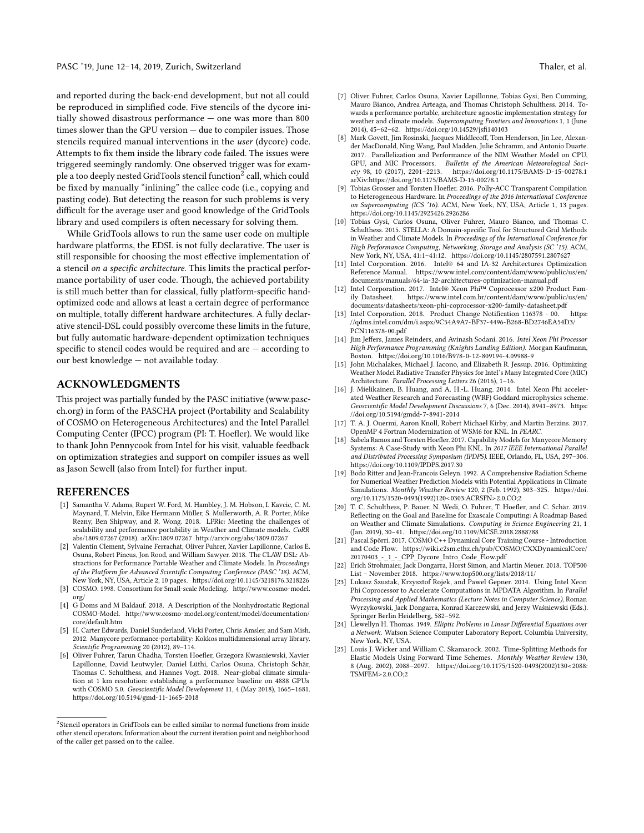and reported during the back-end development, but not all could be reproduced in simplified code. Five stencils of the dycore initially showed disastrous performance — one was more than 800 times slower than the GPU version — due to compiler issues. Those stencils required manual interventions in the user (dycore) code. Attempts to fix them inside the library code failed. The issues were triggered seemingly randomly. One observed trigger was for example a too deeply nested GridTools stencil function $^2$  $^2$  call, which could be fixed by manually "inlining" the callee code (i.e., copying and pasting code). But detecting the reason for such problems is very difficult for the average user and good knowledge of the GridTools library and used compilers is often necessary for solving them.

While GridTools allows to run the same user code on multiple hardware platforms, the EDSL is not fully declarative. The user is still responsible for choosing the most effective implementation of a stencil on a specific architecture. This limits the practical performance portability of user code. Though, the achieved portability is still much better than for classical, fully platform-specific handoptimized code and allows at least a certain degree of performance on multiple, totally different hardware architectures. A fully declarative stencil-DSL could possibly overcome these limits in the future, but fully automatic hardware-dependent optimization techniques specific to stencil codes would be required and are — according to our best knowledge — not available today.

# ACKNOWLEDGMENTS

This project was partially funded by the PASC initiative (www.pascch.org) in form of the PASCHA project (Portability and Scalability of COSMO on Heterogeneous Architectures) and the Intel Parallel Computing Center (IPCC) program (PI: T. Hoefler). We would like to thank John Pennycook from Intel for his visit, valuable feedback on optimization strategies and support on compiler issues as well as Jason Sewell (also from Intel) for further input.

#### REFERENCES

- <span id="page-9-15"></span>[1] Samantha V. Adams, Rupert W. Ford, M. Hambley, J. M. Hobson, I. Kavcic, C. M. Maynard, T. Melvin, Eike Hermann Müller, S. Mullerworth, A. R. Porter, Mike Rezny, Ben Shipway, and R. Wong. 2018. LFRic: Meeting the challenges of scalability and performance portability in Weather and Climate models. CoRR abs/1809.07267 (2018). arXiv[:1809.07267 http://arxiv.org/abs/1809.07267](http://arxiv.org/abs/1809.07267)
- <span id="page-9-14"></span>[2] Valentin Clement, Sylvaine Ferrachat, Oliver Fuhrer, Xavier Lapillonne, Carlos E. Osuna, Robert Pincus, Jon Rood, and William Sawyer. 2018. The CLAW DSL: Abstractions for Performance Portable Weather and Climate Models. In Proceedings of the Platform for Advanced Scientific Computing Conference (PASC '18). ACM, New York, NY, USA, Article 2, 10 pages.<https://doi.org/10.1145/3218176.3218226>
- <span id="page-9-4"></span>[3] COSMO. 1998. Consortium for Small-scale Modeling. [http://www.cosmo-model.](http://www.cosmo-model.org/)
- <span id="page-9-5"></span>[org/](http://www.cosmo-model.org/) [4] G Doms and M Baldauf. 2018. A Description of the Nonhydrostatic Regional COSMO-Model. [http://www.cosmo-model.org/content/model/documentation/](http://www.cosmo-model.org/content/model/documentation/core/default.htm) [core/default.htm](http://www.cosmo-model.org/content/model/documentation/core/default.htm)
- <span id="page-9-13"></span>[5] H. Carter Edwards, Daniel Sunderland, Vicki Porter, Chris Amsler, and Sam Mish. 2012. Manycore performance-portability: Kokkos multidimensional array library. Scientific Programming 20 (2012), 89-114.
- <span id="page-9-0"></span>[6] Oliver Fuhrer, Tarun Chadha, Torsten Hoefler, Grzegorz Kwasniewski, Xavier Lapillonne, David Leutwyler, Daniel Lüthi, Carlos Osuna, Christoph Schär, Thomas C. Schulthess, and Hannes Vogt. 2018. Near-global climate simulation at 1 km resolution: establishing a performance baseline on 4888 GPUs with COSMO 5.0. Geoscientific Model Development 11, 4 (May 2018), 1665–1681. <https://doi.org/10.5194/gmd-11-1665-2018>
- <span id="page-9-6"></span>[7] Oliver Fuhrer, Carlos Osuna, Xavier Lapillonne, Tobias Gysi, Ben Cumming, Mauro Bianco, Andrea Arteaga, and Thomas Christoph Schulthess. 2014. Towards a performance portable, architecture agnostic implementation strategy for weather and climate models. Supercomputing Frontiers and Innovations 1, 1 (June 2014), 45–62–62.<https://doi.org/10.14529/jsfi140103>
- <span id="page-9-11"></span>[8] Mark Govett, Jim Rosinski, Jacques Middlecoff, Tom Henderson, Jin Lee, Alexander MacDonald, Ning Wang, Paul Madden, Julie Schramm, and Antonio Duarte. 2017. Parallelization and Performance of the NIM Weather Model on CPU, GPU, and MIC Processors. Bulletin of the American Meteorological Society 98, 10 (2017), 2201–2213.<https://doi.org/10.1175/BAMS-D-15-00278.1> arXiv[:https://doi.org/10.1175/BAMS-D-15-00278.1](http://arxiv.org/abs/https://doi.org/10.1175/BAMS-D-15-00278.1)
- <span id="page-9-16"></span>[9] Tobias Grosser and Torsten Hoefler. 2016. Polly-ACC Transparent Compilation to Heterogeneous Hardware. In Proceedings of the 2016 International Conference on Supercomputing (ICS '16). ACM, New York, NY, USA, Article 1, 13 pages. <https://doi.org/10.1145/2925426.2926286>
- <span id="page-9-3"></span>[10] Tobias Gysi, Carlos Osuna, Oliver Fuhrer, Mauro Bianco, and Thomas C. Schulthess. 2015. STELLA: A Domain-specific Tool for Structured Grid Methods in Weather and Climate Models. In Proceedings of the International Conference for High Performance Computing, Networking, Storage and Analysis (SC '15). ACM, New York, NY, USA, 41:1–41:12.<https://doi.org/10.1145/2807591.2807627>
- <span id="page-9-23"></span>[11] Intel Corporation. 2016. Intel® 64 and IA-32 Architectures Optimization Reference Manual. [https://www.intel.com/content/dam/www/public/us/en/](https://www.intel.com/content/dam/www/public/us/en/documents/manuals/64-ia-32-architectures-optimization-manual.pdf) [documents/manuals/64-ia-32-architectures-optimization-manual.pdf](https://www.intel.com/content/dam/www/public/us/en/documents/manuals/64-ia-32-architectures-optimization-manual.pdf)
- <span id="page-9-21"></span>[12] Intel Corporation. 2017. Intel® Xeon Phi™ Coprocessor x200 Product Family Datasheet. [https://www.intel.com.br/content/dam/www/public/us/en/](https://www.intel.com.br/content/dam/www/public/us/en/documents/datasheets/xeon-phi-coprocessor-x200-family-datasheet.pdf) [documents/datasheets/xeon-phi-coprocessor-x200-family-datasheet.pdf](https://www.intel.com.br/content/dam/www/public/us/en/documents/datasheets/xeon-phi-coprocessor-x200-family-datasheet.pdf)
- <span id="page-9-7"></span>[13] Intel Corporation. 2018. Product Change Notification 116378 - 00. [https:](https://qdms.intel.com/dm/i.aspx/9C54A9A7-BF37-4496-B268-BD2746EA54D3/PCN116378-00.pdf) [//qdms.intel.com/dm/i.aspx/9C54A9A7-BF37-4496-B268-BD2746EA54D3/](https://qdms.intel.com/dm/i.aspx/9C54A9A7-BF37-4496-B268-BD2746EA54D3/PCN116378-00.pdf) [PCN116378-00.pdf](https://qdms.intel.com/dm/i.aspx/9C54A9A7-BF37-4496-B268-BD2746EA54D3/PCN116378-00.pdf)
- <span id="page-9-19"></span>[14] Jim Jeffers, James Reinders, and Avinash Sodani. 2016. Intel Xeon Phi Processor High Performance Programming (Knights Landing Edition). Morgan Kaufmann, Boston.<https://doi.org/10.1016/B978-0-12-809194-4.09988-9>
- <span id="page-9-8"></span>[15] John Michalakes, Michael J. Iacono, and Elizabeth R. Jessup. 2016. Optimizing Weather Model Radiative Transfer Physics for Intel's Many Integrated Core (MIC) Architecture. Parallel Processing Letters 26 (2016), 1–16.
- <span id="page-9-10"></span>[16] J. Mielikainen, B. Huang, and A. H.-L. Huang. 2014. Intel Xeon Phi accelerated Weather Research and Forecasting (WRF) Goddard microphysics scheme. Geoscientific Model Development Discussions 7, 6 (Dec. 2014), 8941–8973. [https:](https://doi.org/10.5194/gmdd-7-8941-2014) [//doi.org/10.5194/gmdd-7-8941-2014](https://doi.org/10.5194/gmdd-7-8941-2014)
- <span id="page-9-9"></span>[17] T. A. J. Ouermi, Aaron Knoll, Robert Michael Kirby, and Martin Berzins. 2017. OpenMP 4 Fortran Modernization of WSM6 for KNL. In PEARC.
- <span id="page-9-20"></span>[18] Sabela Ramos and Torsten Hoefler. 2017. Capability Models for Manycore Memory Systems: A Case-Study with Xeon Phi KNL. In 2017 IEEE International Parallel and Distributed Processing Symposium (IPDPS). IEEE, Orlando, FL, USA, 297–306. <https://doi.org/10.1109/IPDPS.2017.30>
- <span id="page-9-24"></span>[19] Bodo Ritter and Jean-Francois Geleyn. 1992. A Comprehensive Radiation Scheme for Numerical Weather Prediction Models with Potential Applications in Climate Simulations. Monthly Weather Review 120, 2 (Feb. 1992), 303–325. [https://doi.](https://doi.org/10.1175/1520-0493(1992)120<0303:ACRSFN>2.0.CO;2) [org/10.1175/1520-0493\(1992\)120<0303:ACRSFN>2.0.CO;2](https://doi.org/10.1175/1520-0493(1992)120<0303:ACRSFN>2.0.CO;2)
- <span id="page-9-1"></span>[20] T. C. Schulthess, P. Bauer, N. Wedi, O. Fuhrer, T. Hoefler, and C. Schär. 2019. Reflecting on the Goal and Baseline for Exascale Computing: A Roadmap Based on Weather and Climate Simulations. Computing in Science Engineering 21, 1 (Jan. 2019), 30–41.<https://doi.org/10.1109/MCSE.2018.2888788>
- <span id="page-9-18"></span>[21] Pascal Spörri. 2017. COSMO C++ Dynamical Core Training Course - Introduction and Code Flow. [https://wiki.c2sm.ethz.ch/pub/COSMO/CXXDynamicalCore/](https://wiki.c2sm.ethz.ch/pub/COSMO/CXXDynamicalCore/20170403_-_1_-_CPP_Dycore_Intro_Code_Flow.pdf) [20170403\\_-\\_1\\_-\\_CPP\\_Dycore\\_Intro\\_Code\\_Flow.pdf](https://wiki.c2sm.ethz.ch/pub/COSMO/CXXDynamicalCore/20170403_-_1_-_CPP_Dycore_Intro_Code_Flow.pdf)
- <span id="page-9-2"></span>[22] Erich Strohmaier, Jack Dongarra, Horst Simon, and Martin Meuer. 2018. TOP500 List – November 2018.<https://www.top500.org/lists/2018/11/>
- <span id="page-9-12"></span>[23] Lukasz Szustak, Krzysztof Rojek, and Pawel Gepner. 2014. Using Intel Xeon Phi Coprocessor to Accelerate Computations in MPDATA Algorithm. In Parallel Processing and Applied Mathematics (Lecture Notes in Computer Science), Roman Wyrzykowski, Jack Dongarra, Konrad Karczewski, and Jerzy Waśniewski (Eds.). Springer Berlin Heidelberg, 582–592.
- <span id="page-9-22"></span>[24] Llewellyn H. Thomas. 1949. Elliptic Problems in Linear Differential Equations over a Network. Watson Science Computer Laboratory Report. Columbia University, New York, NY, USA.
- <span id="page-9-17"></span>Louis J. Wicker and William C. Skamarock. 2002. Time-Splitting Methods for Elastic Models Using Forward Time Schemes. Monthly Weather Review 130, 8 (Aug. 2002), 2088–2097. [https://doi.org/10.1175/1520-0493\(2002\)130<2088:](https://doi.org/10.1175/1520-0493(2002)130<2088:TSMFEM>2.0.CO;2) [TSMFEM>2.0.CO;2](https://doi.org/10.1175/1520-0493(2002)130<2088:TSMFEM>2.0.CO;2)

<span id="page-9-25"></span><sup>&</sup>lt;sup>2</sup>Stencil operators in GridTools can be called similar to normal functions from inside other stencil operators. Information about the current iteration point and neighborhood of the caller get passed on to the callee.